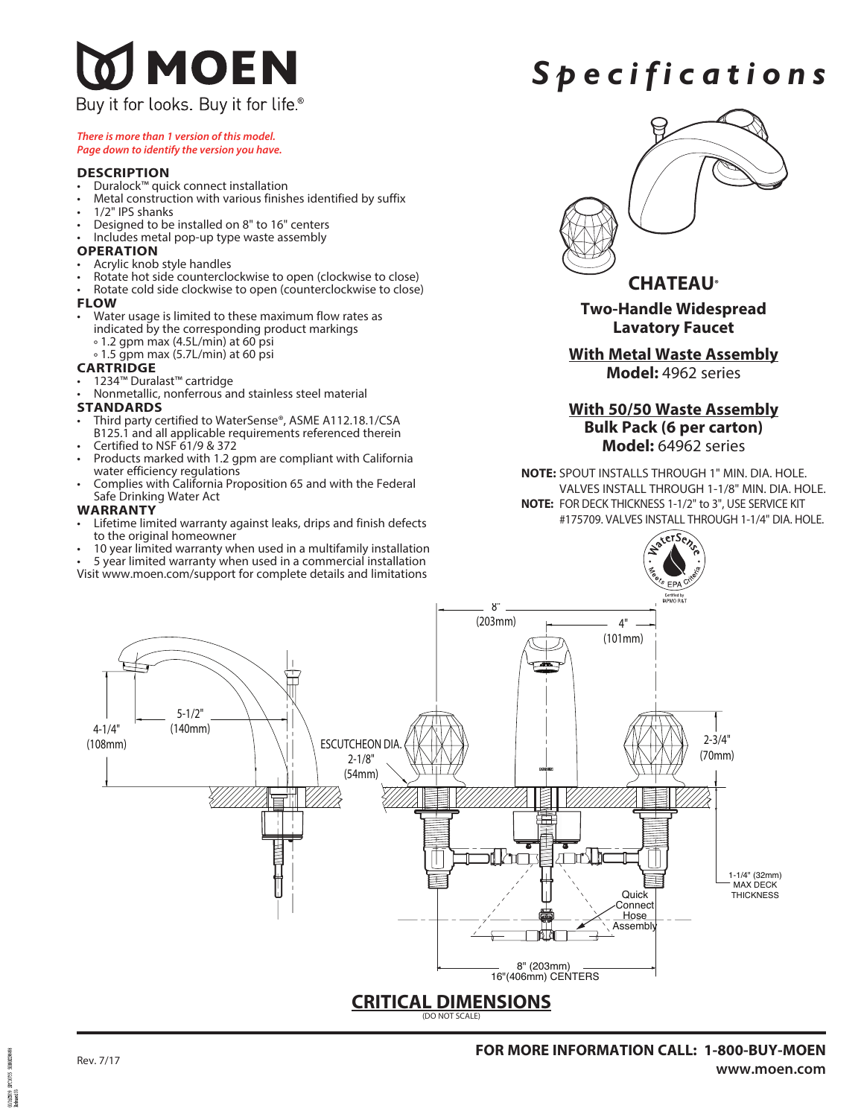# MOEN

#### Buy it for looks. Buy it for life®

#### *There is more than 1 version of this model. Page down to identify the version you have.*

- **DESCRIPTION**<br>• Duralock<sup>TM</sup> quick connect installation
- Metal construction with various finishes identified by suffix<br>1/2" IPS shanks<br>Designed to be installed on 8" to 16" centers<br>Includes metal pop-up type waste assembly
- 
- 
- **OPERATION**

#### • Acrylic knob style handles

- Rotate hot side counterclockwise to open (clockwise to close)
- Rotate cold side clockwise to open (counterclockwise to close)

#### **FLOW**

- Water usage is limited to these maximum flow rates as indicated by the corresponding product markings • 1.2 gpm max (4.5L/min) at 60 psi • 1.5 gpm max (5.7L/min) at 60 psi
- 
- **CARTRIDGE**<br>• 1234™ Duralast™ cartridge
- Nonmetallic, nonferrous and stainless steel material
- **STANDARDS**
- Third party certified to WaterSense®, ASME A112.18.1/CSA<br>B125.1 and all applicable requirements referenced therein
- 
- Certified to NSF 61/9 & 372<br>Products marked with 1.2 gpm are compliant with California water efficiency regulations
- Complies with California Proposition 65 and with the Federal Safe Drinking Water Act

#### **WARRANTY**

- Lifetime limited warranty against leaks, drips and finish defects to the original homeowner
- 10 year limited warranty when used in a multifamily installation
- 

## *Spec i f i c a tions*



#### **CHATEAU®**

**Two-Handle Widespread Lavatory Faucet**

#### **With Metal Waste Assembly Model:** 4962 series

#### **With 50/50 Waste Assembly Bulk Pack (6 per carton) Model:** 64962 series

**NOTE:** SPOUT INSTALLS THROUGH 1" MIN. DIA. HOLE. VALVES INSTALL THROUGH 1-1/8" MIN. DIA. HOLE. **NOTE:** FOR DECK THICKNESS 1-1/2" to 3", USE SERVICE KIT #175709. VALVES INSTALL THROUGH 1-1/4" DIA. HOLE.

kerSe)



#### **FOR MORE INFORMATION CALL: 1-800-BUY-MOEN www.moen.com**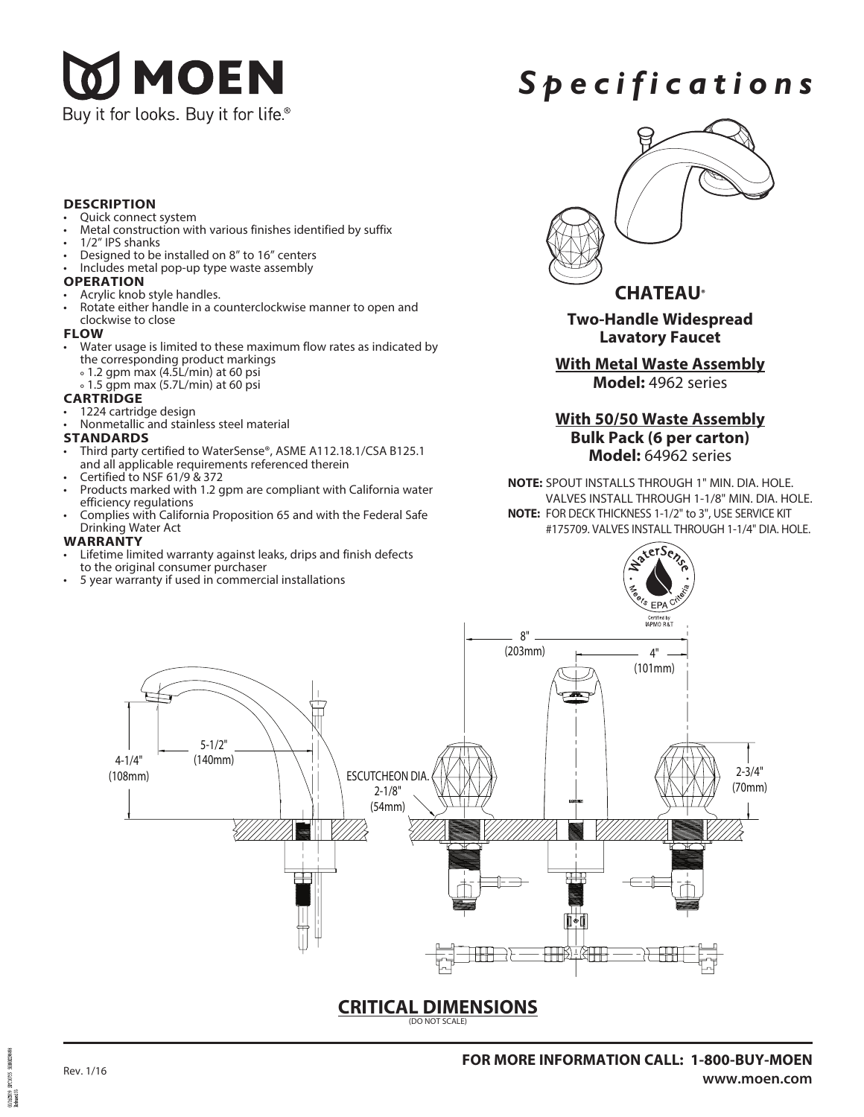## MOEN Buy it for looks. Buy it for life  $^{\circ}$

#### **DESCRIPTION**

- Quick connect system
- Metal construction with various finishes identified by suffix
- 1/2" IPS shanks
- Designed to be installed on 8" to 16" centers
- Includes metal pop-up type waste assembly

#### **OPERATION**

- Acrylic knob style handles.
- Rotate either handle in a counterclockwise manner to open and clockwise to close

#### **FLOW**

- Water usage is limited to these maximum flow rates as indicated by the corresponding product markings
	- $\cdot$  1.2 gpm max (4.5L/min) at 60 psi
	- 1.5 gpm max (5.7L/min) at 60 psi

#### **CARTRIDGE**

- 1224 cartridge design
- Nonmetallic and stainless steel material

#### **STANDARDS**

- Third party certified to WaterSense®, ASME A112.18.1/CSA B125.1 and all applicable requirements referenced therein
- Certified to NSF 61/9 & 372
- Products marked with 1.2 gpm are compliant with California water efficiency regulations
- Complies with California Proposition 65 and with the Federal Safe Drinking Water Act

#### **WARRANTY**

- Lifetime limited warranty against leaks, drips and finish defects to the original consumer purchaser
- 5 year warranty if used in commercial installations

### *Spec i f i c a tions*



### **CHATEAU®**

**Two-Handle Widespread Lavatory Faucet**

**With Metal Waste Assembly Model:** 4962 series

#### **With 50/50 Waste Assembly Bulk Pack (6 per carton) Model:** 64962 series

**NOTE:** SPOUT INSTALLS THROUGH 1" MIN. DIA. HOLE. VALVES INSTALL THROUGH 1-1/8" MIN. DIA. HOLE. **NOTE:** FOR DECK THICKNESS 1-1/2" to 3", USE SERVICE KIT #175709. VALVES INSTALL THROUGH 1-1/4" DIA. HOLE.

⊾erNa



**CRITICAL DIMENSIONS** (DO NOT SCALE)